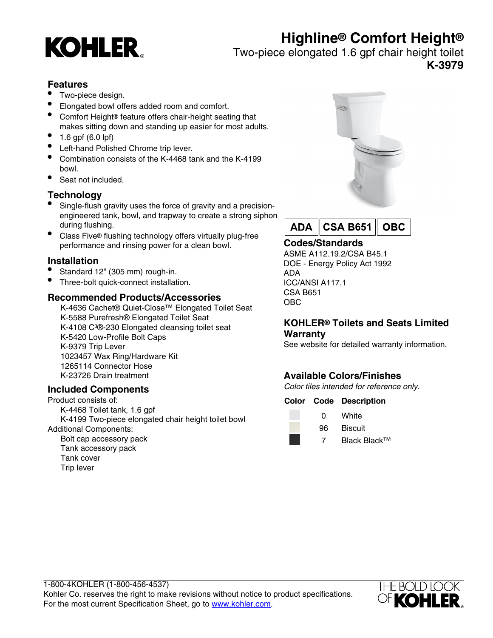# **Highline® Comfort Height®**



Two-piece elongated 1.6 gpf chair height toilet

**K-3979**

### **Features**

- Two-piece design.
- Elongated bowl offers added room and comfort.
- Comfort Height® feature offers chair-height seating that makes sitting down and standing up easier for most adults.
- 1.6 gpf  $(6.0 \text{ lpf})$
- Left-hand Polished Chrome trip lever.
- Combination consists of the K-4468 tank and the K-4199 bowl.
- Seat not included.

# **Technology**

- Single-flush gravity uses the force of gravity and a precisionengineered tank, bowl, and trapway to create a strong siphon during flushing.
- Class Five® flushing technology offers virtually plug-free performance and rinsing power for a clean bowl.

# **Installation**

- Standard 12" (305 mm) rough-in.
- Three-bolt quick-connect installation.

# **Recommended Products/Accessories**

K-4636 Cachet® Quiet-Close™ Elongated Toilet Seat K-5588 Purefresh® Elongated Toilet Seat K-4108 C<sup>3</sup>®-230 Elongated cleansing toilet seat K-5420 Low-Profile Bolt Caps K-9379 Trip Lever 1023457 Wax Ring/Hardware Kit 1265114 Connector Hose K-23726 Drain treatment

# **Included Components**

Product consists of: K-4468 Toilet tank, 1.6 gpf K-4199 Two-piece elongated chair height toilet bowl Additional Components:

Bolt cap accessory pack Tank accessory pack Tank cover Trip lever





# **Codes/Standards**

ASME A112.19.2/CSA B45.1 DOE - Energy Policy Act 1992 ADA ICC/ANSI A117.1 CSA B651 OBC

#### **KOHLER® Toilets and Seats Limited Warranty**

See website for detailed warranty information.

# **Available Colors/Finishes**

Color tiles intended for reference only.

#### **Color Code Description**



0 White 96 Biscuit

7 Black Black™